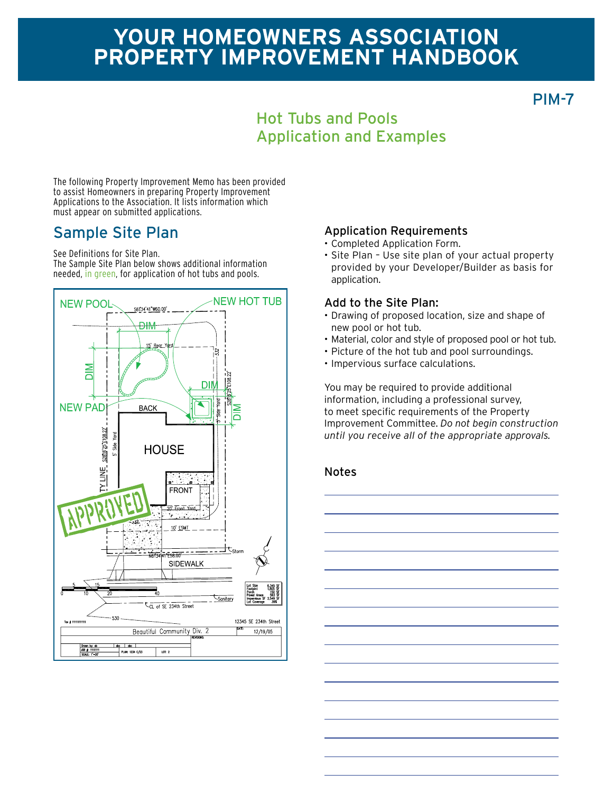# **Your homeowners association Property improvement Handbook**

PIM-7

### Hot Tubs and Pools Application and Examples

The following Property Improvement Memo has been provided to assist Homeowners in preparing Property Improvement Applications to the Association. It lists information which must appear on submitted applications.

#### Sample Site Plan

See Definitions for Site Plan.

The Sample Site Plan below shows additional information needed, in green, for application of hot tubs and pools.



#### Application Requirements

- • Completed Application Form.
- Site Plan Use site plan of your actual property provided by your Developer/Builder as basis for application.

#### Add to the Site Plan:

- Drawing of proposed location, size and shape of new pool or hot tub.
- • Material, color and style of proposed pool or hot tub.
- Picture of the hot tub and pool surroundings.
- • Impervious surface calculations.

You may be required to provide additional information, including a professional survey, to meet specific requirements of the Property Improvement Committee. *Do not begin construction until you receive all of the appropriate approvals.*

#### Notes

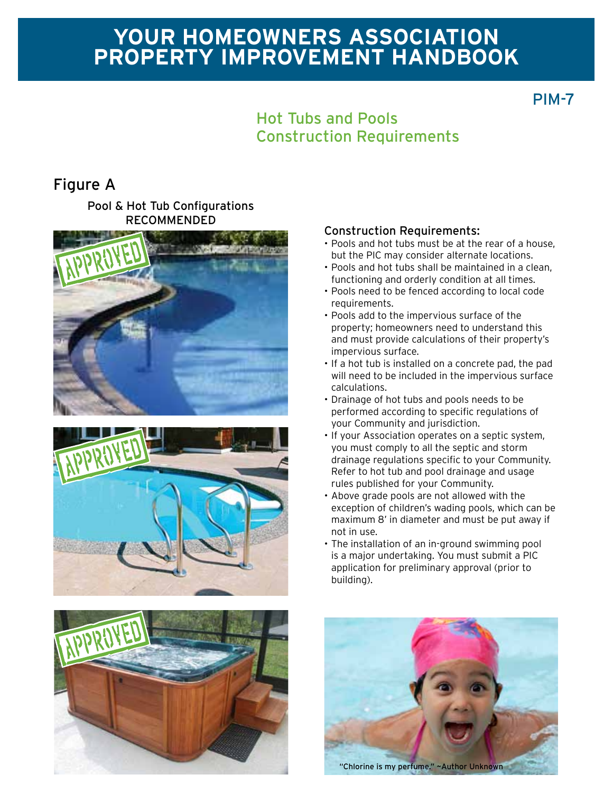# **Your homeowners association Property improvement Handbook**

PIM-7

## Hot Tubs and Pools Construction Requirements

### Figure A

Pool & Hot Tub Configurations RECOMMENDED







#### Construction Requirements:

- Pools and hot tubs must be at the rear of a house, but the PIC may consider alternate locations.
- • Pools and hot tubs shall be maintained in a clean, functioning and orderly condition at all times.
- • Pools need to be fenced according to local code requirements.
- • Pools add to the impervious surface of the property; homeowners need to understand this and must provide calculations of their property's impervious surface.
- • If a hot tub is installed on a concrete pad, the pad will need to be included in the impervious surface calculations.
- • Drainage of hot tubs and pools needs to be performed according to specific regulations of your Community and jurisdiction.
- If your Association operates on a septic system, you must comply to all the septic and storm drainage regulations specific to your Community. Refer to hot tub and pool drainage and usage rules published for your Community.
- • Above grade pools are not allowed with the exception of children's wading pools, which can be maximum 8' in diameter and must be put away if not in use.
- The installation of an in-ground swimming pool is a major undertaking. You must submit a PIC application for preliminary approval (prior to building).



"Chlorine is my perfume." ~Author Unknown